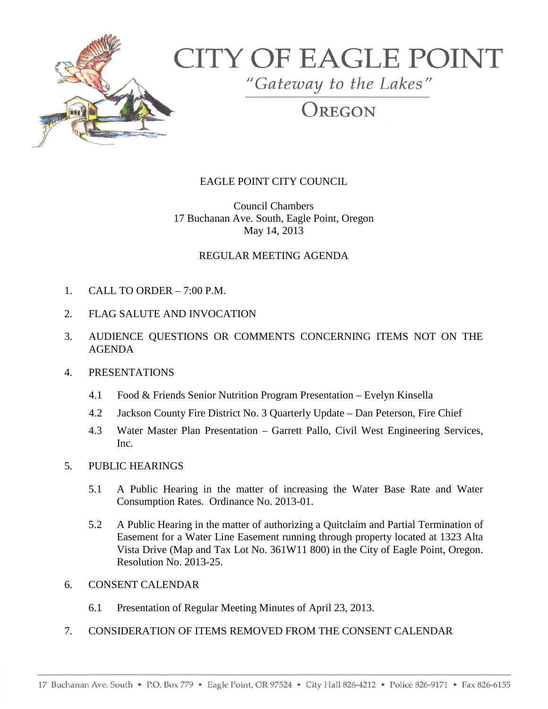

# **CITY OF EAGLE POINT**

"Gateway to the Lakes"

# OREGON

# EAGLE POINT CITY COUNCIL

Council Chambers 17 Buchanan Ave. South, Eagle Point, Oregon May 14, 2013

## REGULAR MEETING AGENDA

- 1. CALL TO ORDER 7:00 P.M.
- 2. FLAG SALUTE AND INVOCATION
- 3. AUDIENCE QUESTIONS OR COMMENTS CONCERNING ITEMS NOT ON THE AGENDA

### 4. PRESENTATIONS

- 4.1 Food & Friends Senior Nutrition Program Presentation Evelyn Kinsella
- 4.2 Jackson County Fire District No. 3 Quarterly Update Dan Peterson, Fire Chief
- 4.3 Water Master Plan Presentation Garrett Pallo, Civil West Engineering Services, Inc.

#### 5. PUBLIC HEARINGS

- 5.1 A Public Hearing in the matter of increasing the Water Base Rate and Water Consumption Rates. Ordinance No. 2013-01.
- 5.2 A Public Hearing in the matter of authorizing a Quitclaim and Partial Termination of Easement for a Water Line Easement running through property located at 1323 Alta Vista Drive (Map and Tax Lot No. 361W11 800) in the City of Eagle Point, Oregon. Resolution No. 2013-25.
- 6. CONSENT CALENDAR
	- 6.1 Presentation of Regular Meeting Minutes of April 23, 2013.
- 7. CONSIDERATION OF ITEMS REMOVED FROM THE CONSENT CALENDAR